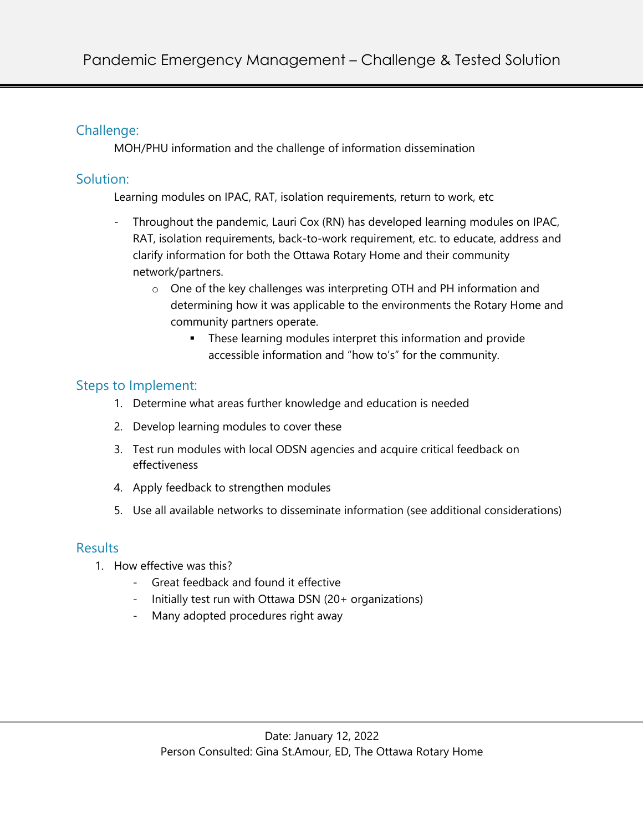## Challenge:

MOH/PHU information and the challenge of information dissemination

### Solution:

Learning modules on IPAC, RAT, isolation requirements, return to work, etc

- Throughout the pandemic, Lauri Cox (RN) has developed learning modules on IPAC, RAT, isolation requirements, back-to-work requirement, etc. to educate, address and clarify information for both the Ottawa Rotary Home and their community network/partners.
	- o One of the key challenges was interpreting OTH and PH information and determining how it was applicable to the environments the Rotary Home and community partners operate.
		- **•** These learning modules interpret this information and provide accessible information and "how to's" for the community.

# Steps to Implement:

- 1. Determine what areas further knowledge and education is needed
- 2. Develop learning modules to cover these
- 3. Test run modules with local ODSN agencies and acquire critical feedback on effectiveness
- 4. Apply feedback to strengthen modules
- 5. Use all available networks to disseminate information (see additional considerations)

# Results

- 1. How effective was this?
	- Great feedback and found it effective
	- Initially test run with Ottawa DSN (20+ organizations)
	- Many adopted procedures right away